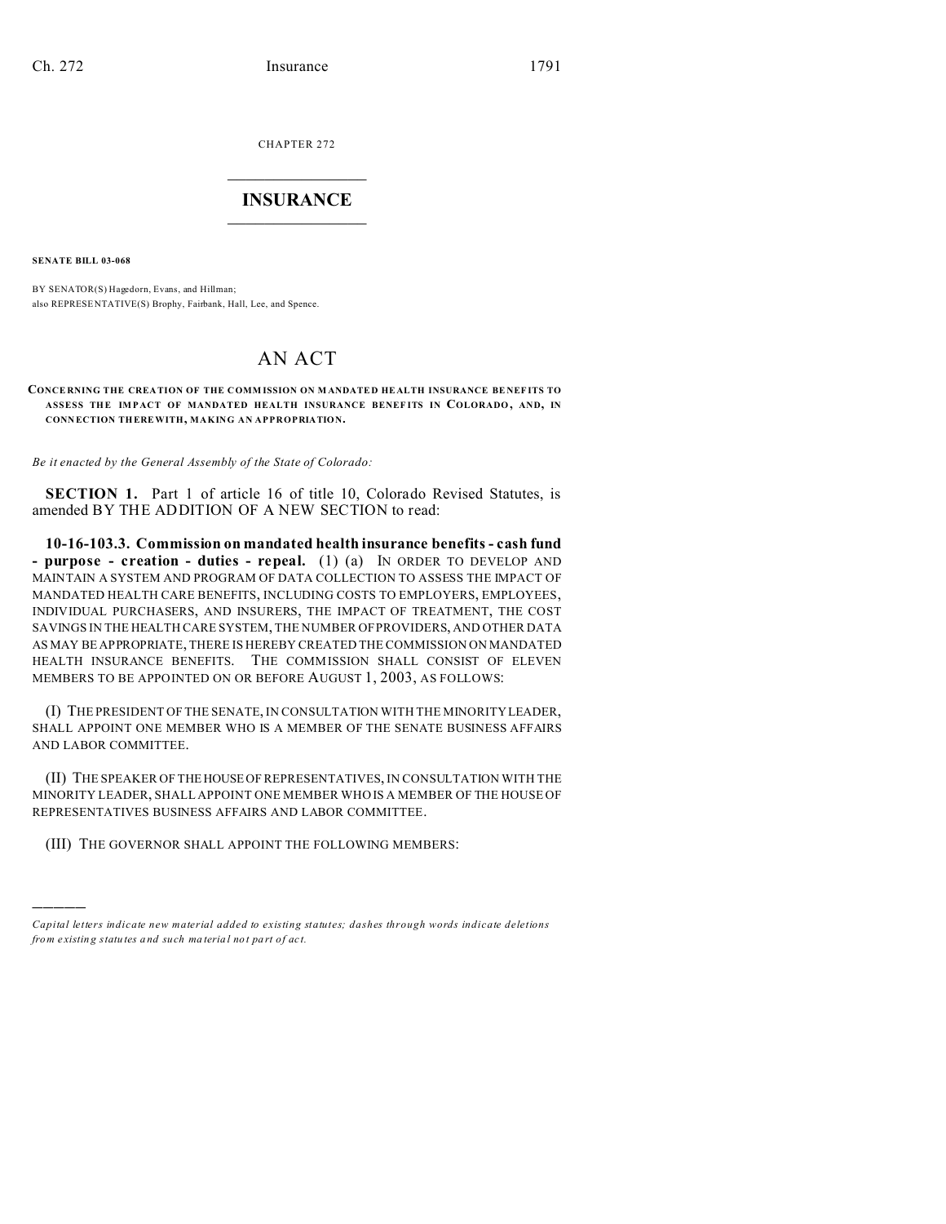CHAPTER 272  $\overline{\phantom{a}}$  , where  $\overline{\phantom{a}}$ 

## **INSURANCE**  $\_$   $\_$   $\_$   $\_$   $\_$   $\_$   $\_$   $\_$

**SENATE BILL 03-068**

)))))

BY SENATOR(S) Hagedorn, Evans, and Hillman; also REPRESE NTATIVE(S) Brophy, Fairbank, Hall, Lee, and Spence.

## AN ACT

**CONCE RNING THE CREA TION OF THE COMM ISSION ON M ANDATE D HE ALTH INSURANCE BE NEF ITS TO ASSESS THE IM P ACT OF MANDATED HEALTH INSURANCE BENEF ITS IN COLORADO, AND, IN CONN ECTION THEREWITH, MAKING AN APPROPRIATION.**

*Be it enacted by the General Assembly of the State of Colorado:*

**SECTION 1.** Part 1 of article 16 of title 10, Colorado Revised Statutes, is amended BY THE ADDITION OF A NEW SECTION to read:

**10-16-103.3. Commission on mandated health insurance benefits - cash fund - purpose - creation - duties - repeal.** (1) (a) IN ORDER TO DEVELOP AND MAINTAIN A SYSTEM AND PROGRAM OF DATA COLLECTION TO ASSESS THE IMPACT OF MANDATED HEALTH CARE BENEFITS, INCLUDING COSTS TO EMPLOYERS, EMPLOYEES, INDIVIDUAL PURCHASERS, AND INSURERS, THE IMPACT OF TREATMENT, THE COST SAVINGS IN THE HEALTH CARE SYSTEM, THE NUMBER OF PROVIDERS, AND OTHER DATA AS MAY BE APPROPRIATE, THERE IS HEREBY CREATED THE COMMISSION ON MANDATED HEALTH INSURANCE BENEFITS. THE COMMISSION SHALL CONSIST OF ELEVEN MEMBERS TO BE APPOINTED ON OR BEFORE AUGUST 1, 2003, AS FOLLOWS:

(I) THE PRESIDENT OF THE SENATE, IN CONSULTATION WITH THE MINORITY LEADER, SHALL APPOINT ONE MEMBER WHO IS A MEMBER OF THE SENATE BUSINESS AFFAIRS AND LABOR COMMITTEE.

(II) THE SPEAKER OF THEHOUSE OF REPRESENTATIVES, IN CONSULTATION WITH THE MINORITY LEADER, SHALL APPOINT ONE MEMBER WHO IS A MEMBER OF THE HOUSE OF REPRESENTATIVES BUSINESS AFFAIRS AND LABOR COMMITTEE.

(III) THE GOVERNOR SHALL APPOINT THE FOLLOWING MEMBERS:

*Capital letters indicate new material added to existing statutes; dashes through words indicate deletions from e xistin g statu tes a nd such ma teria l no t pa rt of ac t.*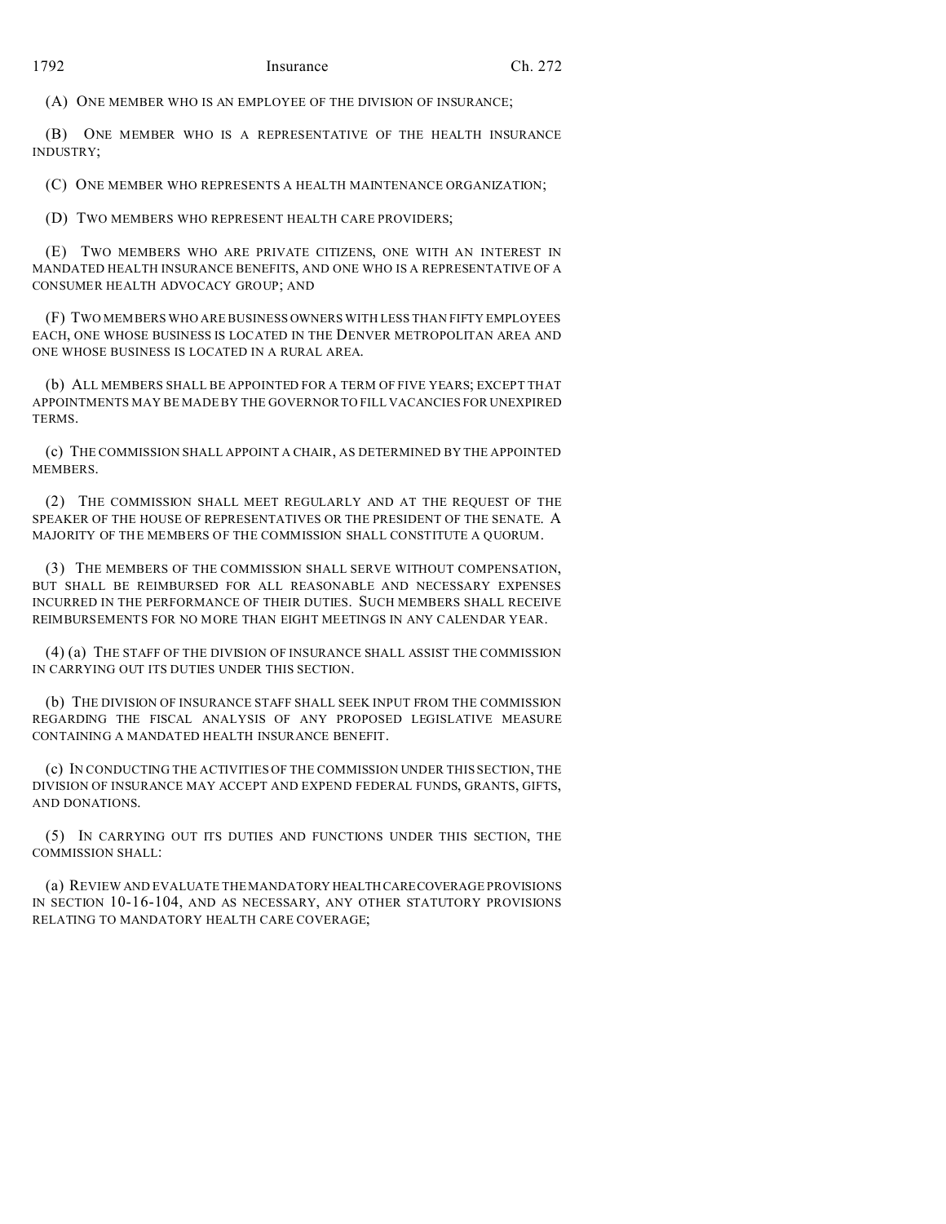(A) ONE MEMBER WHO IS AN EMPLOYEE OF THE DIVISION OF INSURANCE;

(B) ONE MEMBER WHO IS A REPRESENTATIVE OF THE HEALTH INSURANCE INDUSTRY;

(C) ONE MEMBER WHO REPRESENTS A HEALTH MAINTENANCE ORGANIZATION;

(D) TWO MEMBERS WHO REPRESENT HEALTH CARE PROVIDERS;

(E) TWO MEMBERS WHO ARE PRIVATE CITIZENS, ONE WITH AN INTEREST IN MANDATED HEALTH INSURANCE BENEFITS, AND ONE WHO IS A REPRESENTATIVE OF A CONSUMER HEALTH ADVOCACY GROUP; AND

(F) TWO MEMBERS WHO ARE BUSINESS OWNERS WITH LESS THAN FIFTY EMPLOYEES EACH, ONE WHOSE BUSINESS IS LOCATED IN THE DENVER METROPOLITAN AREA AND ONE WHOSE BUSINESS IS LOCATED IN A RURAL AREA.

(b) ALL MEMBERS SHALL BE APPOINTED FOR A TERM OF FIVE YEARS; EXCEPT THAT APPOINTMENTS MAY BE MADE BY THE GOVERNOR TO FILL VACANCIES FOR UNEXPIRED TERMS.

(c) THE COMMISSION SHALL APPOINT A CHAIR, AS DETERMINED BY THE APPOINTED **MEMBERS** 

(2) THE COMMISSION SHALL MEET REGULARLY AND AT THE REQUEST OF THE SPEAKER OF THE HOUSE OF REPRESENTATIVES OR THE PRESIDENT OF THE SENATE. A MAJORITY OF THE MEMBERS OF THE COMMISSION SHALL CONSTITUTE A QUORUM.

(3) THE MEMBERS OF THE COMMISSION SHALL SERVE WITHOUT COMPENSATION, BUT SHALL BE REIMBURSED FOR ALL REASONABLE AND NECESSARY EXPENSES INCURRED IN THE PERFORMANCE OF THEIR DUTIES. SUCH MEMBERS SHALL RECEIVE REIMBURSEMENTS FOR NO MORE THAN EIGHT MEETINGS IN ANY CALENDAR YEAR.

(4) (a) THE STAFF OF THE DIVISION OF INSURANCE SHALL ASSIST THE COMMISSION IN CARRYING OUT ITS DUTIES UNDER THIS SECTION.

(b) THE DIVISION OF INSURANCE STAFF SHALL SEEK INPUT FROM THE COMMISSION REGARDING THE FISCAL ANALYSIS OF ANY PROPOSED LEGISLATIVE MEASURE CONTAINING A MANDATED HEALTH INSURANCE BENEFIT.

(c) IN CONDUCTING THE ACTIVITIES OF THE COMMISSION UNDER THIS SECTION, THE DIVISION OF INSURANCE MAY ACCEPT AND EXPEND FEDERAL FUNDS, GRANTS, GIFTS, AND DONATIONS.

(5) IN CARRYING OUT ITS DUTIES AND FUNCTIONS UNDER THIS SECTION, THE COMMISSION SHALL:

(a) REVIEW AND EVALUATE THE MANDATORY HEALTHCARECOVERAGE PROVISIONS IN SECTION 10-16-104, AND AS NECESSARY, ANY OTHER STATUTORY PROVISIONS RELATING TO MANDATORY HEALTH CARE COVERAGE;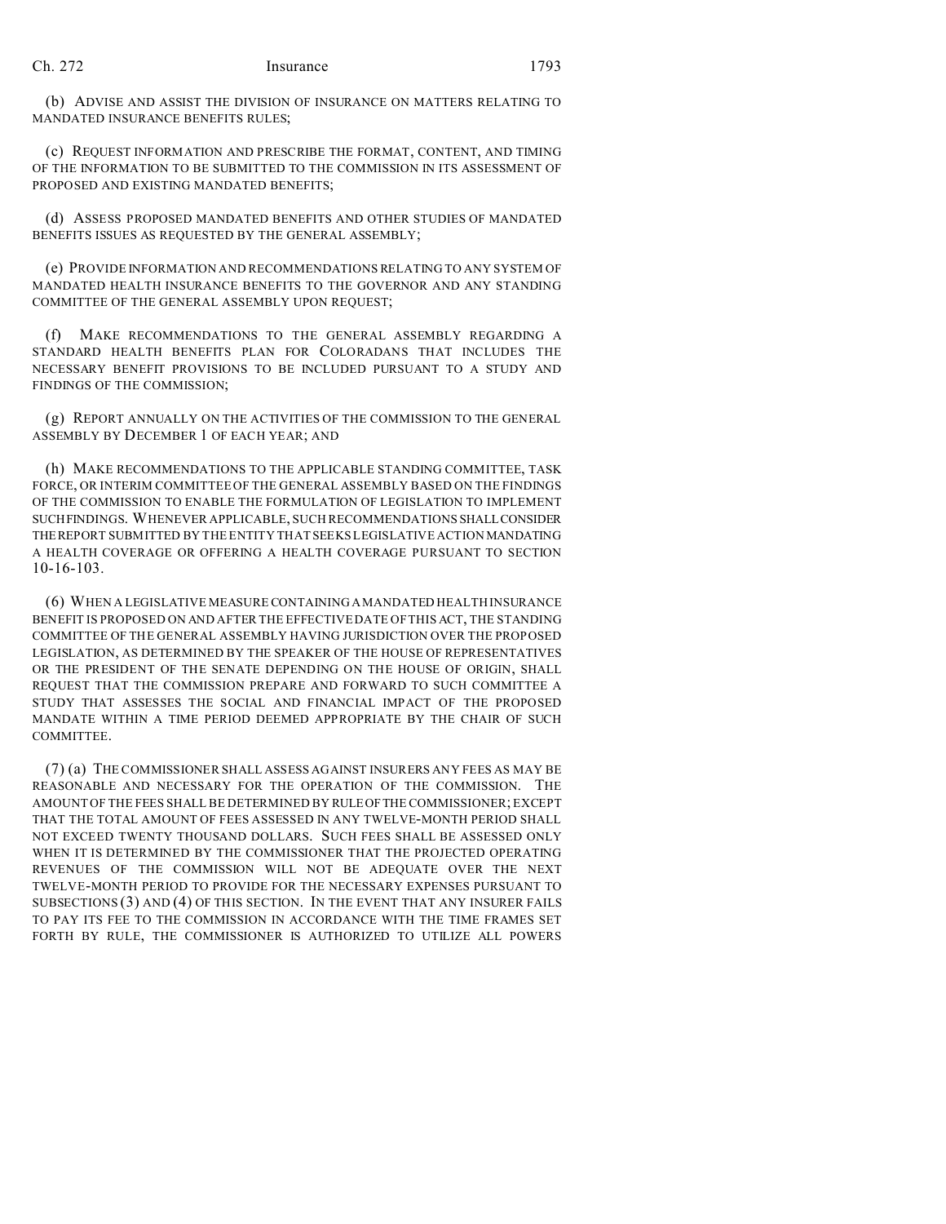(b) ADVISE AND ASSIST THE DIVISION OF INSURANCE ON MATTERS RELATING TO MANDATED INSURANCE BENEFITS RULES;

(c) REQUEST INFORMATION AND PRESCRIBE THE FORMAT, CONTENT, AND TIMING OF THE INFORMATION TO BE SUBMITTED TO THE COMMISSION IN ITS ASSESSMENT OF PROPOSED AND EXISTING MANDATED BENEFITS;

(d) ASSESS PROPOSED MANDATED BENEFITS AND OTHER STUDIES OF MANDATED BENEFITS ISSUES AS REQUESTED BY THE GENERAL ASSEMBLY;

(e) PROVIDE INFORMATION AND RECOMMENDATIONS RELATING TO ANY SYSTEM OF MANDATED HEALTH INSURANCE BENEFITS TO THE GOVERNOR AND ANY STANDING COMMITTEE OF THE GENERAL ASSEMBLY UPON REQUEST;

(f) MAKE RECOMMENDATIONS TO THE GENERAL ASSEMBLY REGARDING A STANDARD HEALTH BENEFITS PLAN FOR COLORADANS THAT INCLUDES THE NECESSARY BENEFIT PROVISIONS TO BE INCLUDED PURSUANT TO A STUDY AND FINDINGS OF THE COMMISSION;

(g) REPORT ANNUALLY ON THE ACTIVITIES OF THE COMMISSION TO THE GENERAL ASSEMBLY BY DECEMBER 1 OF EACH YEAR; AND

(h) MAKE RECOMMENDATIONS TO THE APPLICABLE STANDING COMMITTEE, TASK FORCE, OR INTERIM COMMITTEE OF THE GENERAL ASSEMBLY BASED ON THE FINDINGS OF THE COMMISSION TO ENABLE THE FORMULATION OF LEGISLATION TO IMPLEMENT SUCHFINDINGS. WHENEVER APPLICABLE, SUCH RECOMMENDATIONS SHALLCONSIDER THEREPORT SUBMITTED BY THE ENTITY THAT SEEKS LEGISLATIVE ACTION MANDATING A HEALTH COVERAGE OR OFFERING A HEALTH COVERAGE PURSUANT TO SECTION 10-16-103.

(6) WHEN A LEGISLATIVE MEASURE CONTAINING A MANDATED HEALTH INSURANCE BENEFIT IS PROPOSED ON AND AFTER THE EFFECTIVE DATE OF THIS ACT, THE STANDING COMMITTEE OF THE GENERAL ASSEMBLY HAVING JURISDICTION OVER THE PROPOSED LEGISLATION, AS DETERMINED BY THE SPEAKER OF THE HOUSE OF REPRESENTATIVES OR THE PRESIDENT OF THE SENATE DEPENDING ON THE HOUSE OF ORIGIN, SHALL REQUEST THAT THE COMMISSION PREPARE AND FORWARD TO SUCH COMMITTEE A STUDY THAT ASSESSES THE SOCIAL AND FINANCIAL IMPACT OF THE PROPOSED MANDATE WITHIN A TIME PERIOD DEEMED APPROPRIATE BY THE CHAIR OF SUCH COMMITTEE.

(7) (a) THE COMMISSIONER SHALL ASSESS AGAINST INSURERS ANY FEES AS MAY BE REASONABLE AND NECESSARY FOR THE OPERATION OF THE COMMISSION. THE AMOUNT OF THE FEES SHALL BE DETERMINED BY RULEOFTHE COMMISSIONER; EXCEPT THAT THE TOTAL AMOUNT OF FEES ASSESSED IN ANY TWELVE-MONTH PERIOD SHALL NOT EXCEED TWENTY THOUSAND DOLLARS. SUCH FEES SHALL BE ASSESSED ONLY WHEN IT IS DETERMINED BY THE COMMISSIONER THAT THE PROJECTED OPERATING REVENUES OF THE COMMISSION WILL NOT BE ADEQUATE OVER THE NEXT TWELVE-MONTH PERIOD TO PROVIDE FOR THE NECESSARY EXPENSES PURSUANT TO SUBSECTIONS (3) AND (4) OF THIS SECTION. IN THE EVENT THAT ANY INSURER FAILS TO PAY ITS FEE TO THE COMMISSION IN ACCORDANCE WITH THE TIME FRAMES SET FORTH BY RULE, THE COMMISSIONER IS AUTHORIZED TO UTILIZE ALL POWERS